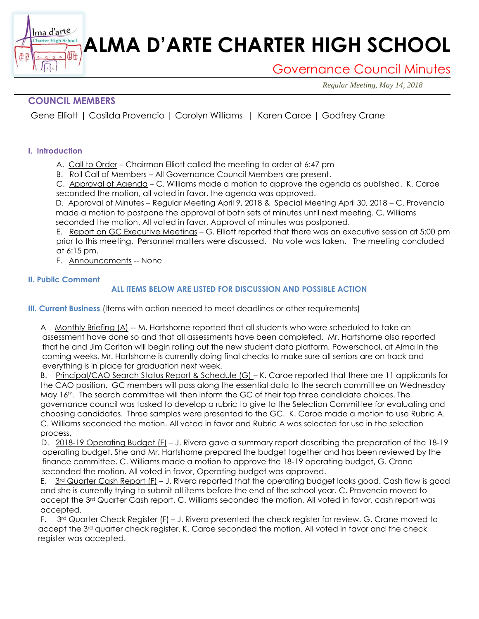# **ALMA D'ARTE CHARTER HIGH SCHOOL**

## Governance Council Minutes

*Regular Meeting, May 14, 2018*

### **COUNCIL MEMBERS**

衄

Gene Elliott | Casilda Provencio | Carolyn Williams | Karen Caroe | Godfrey Crane

#### **I. Introduction**

Ima d'arte **Charter High School** 

- A. Call to Order Chairman Elliott called the meeting to order at 6:47 pm
- B. Roll Call of Members All Governance Council Members are present.

C. Approval of Agenda – C. Williams made a motion to approve the agenda as published. K. Caroe seconded the motion, all voted in favor, the agenda was approved.

D. Approval of Minutes – Regular Meeting April 9, 2018 & Special Meeting April 30, 2018 – C. Provencio made a motion to postpone the approval of both sets of minutes until next meeting. C. Williams seconded the motion. All voted in favor, Approval of minutes was postponed.

E. Report on GC Executive Meetings – G. Elliott reported that there was an executive session at 5:00 pm prior to this meeting. Personnel matters were discussed. No vote was taken. The meeting concluded at 6:15 pm.

F. Announcements -- None

#### **II. Public Comment**

#### **ALL ITEMS BELOW ARE LISTED FOR DISCUSSION AND POSSIBLE ACTION**

**III. Current Business** (Items with action needed to meet deadlines or other requirements)

A Monthly Briefing (A) -- M. Hartshorne reported that all students who were scheduled to take an assessment have done so and that all assessments have been completed. Mr. Hartshorne also reported that he and Jim Carlton will begin rolling out the new student data platform, Powerschool, at Alma in the coming weeks. Mr. Hartshorne is currently doing final checks to make sure all seniors are on track and everything is in place for graduation next week.

B. Principal/CAO Search Status Report & Schedule (G) – K. Caroe reported that there are 11 applicants for the CAO position. GC members will pass along the essential data to the search committee on Wednesday May 16<sup>th</sup>. The search committee will then inform the GC of their top three candidate choices. The governance council was tasked to develop a rubric to give to the Selection Committee for evaluating and choosing candidates. Three samples were presented to the GC. K. Caroe made a motion to use Rubric A. C. Williams seconded the motion. All voted in favor and Rubric A was selected for use in the selection process,

D. 2018-19 Operating Budget (F) – J. Rivera gave a summary report describing the preparation of the 18-19 operating budget. She and Mr. Hartshorne prepared the budget together and has been reviewed by the finance committee. C. Williams made a motion to approve the 18-19 operating budget, G. Crane seconded the motion. All voted in favor, Operating budget was approved.

E. 3<sup>rd</sup> Quarter Cash Report (F) – J. Rivera reported that the operating budget looks good. Cash flow is good and she is currently trying to submit all items before the end of the school year. C. Provencio moved to accept the 3<sup>rd</sup> Quarter Cash report, C. Williams seconded the motion. All voted in favor, cash report was accepted.

F.  $3^{rd}$  Quarter Check Register (F) – J. Rivera presented the check register for review. G, Crane moved to accept the 3<sup>rd</sup> quarter check register. K. Caroe seconded the motion. All voted in favor and the check register was accepted.